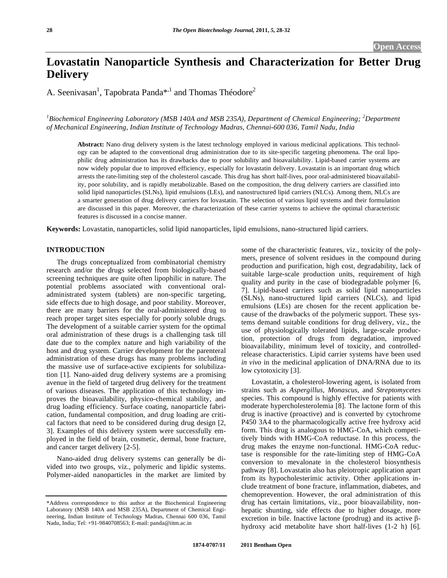# **Lovastatin Nanoparticle Synthesis and Characterization for Better Drug Delivery**

A. Seenivasan<sup>1</sup>, Tapobrata Panda<sup>\*,1</sup> and Thomas Théodore<sup>2</sup>

<sup>1</sup>Biochemical Engineering Laboratory (MSB 140A and MSB 235A), Department of Chemical Engineering; <sup>2</sup>Department *of Mechanical Engineering, Indian Institute of Technology Madras, Chennai-600 036, Tamil Nadu, India* 

**Abstract:** Nano drug delivery system is the latest technology employed in various medicinal applications. This technology can be adapted to the conventional drug administration due to its site-specific targeting phenomena. The oral lipophilic drug administration has its drawbacks due to poor solubility and bioavailability. Lipid-based carrier systems are now widely popular due to improved efficiency, especially for lovastatin delivery. Lovastatin is an important drug which arrests the rate-limiting step of the cholesterol cascade. This drug has short half-lives, poor oral-administered bioavailability, poor solubility, and is rapidly metabolizable. Based on the composition, the drug delivery carriers are classified into solid lipid nanoparticles (SLNs), lipid emulsions (LEs), and nanostructured lipid carriers (NLCs). Among them, NLCs are a smarter generation of drug delivery carriers for lovastatin. The selection of various lipid systems and their formulation are discussed in this paper. Moreover, the characterization of these carrier systems to achieve the optimal characteristic features is discussed in a concise manner.

**Keywords:** Lovastatin, nanoparticles, solid lipid nanoparticles, lipid emulsions, nano-structured lipid carriers.

## **INTRODUCTION**

 The drugs conceptualized from combinatorial chemistry research and/or the drugs selected from biologically-based screening techniques are quite often lipophilic in nature. The potential problems associated with conventional oraladministrated system (tablets) are non-specific targeting, side effects due to high dosage, and poor stability. Moreover, there are many barriers for the oral-administered drug to reach proper target sites especially for poorly soluble drugs. The development of a suitable carrier system for the optimal oral administration of these drugs is a challenging task till date due to the complex nature and high variability of the host and drug system. Carrier development for the parenteral administration of these drugs has many problems including the massive use of surface-active excipients for solubilization [1]. Nano-aided drug delivery systems are a promising avenue in the field of targeted drug delivery for the treatment of various diseases. The application of this technology improves the bioavailability, physico-chemical stability, and drug loading efficiency. Surface coating, nanoparticle fabrication, fundamental composition, and drug loading are critical factors that need to be considered during drug design [2, 3]. Examples of this delivery system were successfully employed in the field of brain, cosmetic, dermal, bone fracture, and cancer target delivery [2-5].

 Nano-aided drug delivery systems can generally be divided into two groups, viz., polymeric and lipidic systems. Polymer-aided nanoparticles in the market are limited by some of the characteristic features, viz., toxicity of the polymers, presence of solvent residues in the compound during production and purification, high cost, degradability, lack of suitable large-scale production units, requirement of high quality and purity in the case of biodegradable polymer [6, 7]. Lipid-based carriers such as solid lipid nanoparticles (SLNs), nano-structured lipid carriers (NLCs), and lipid emulsions (LEs) are chosen for the recent application because of the drawbacks of the polymeric support. These systems demand suitable conditions for drug delivery, viz., the use of physiologically tolerated lipids, large-scale production, protection of drugs from degradation, improved bioavailability, minimum level of toxicity, and controlledrelease characteristics. Lipid carrier systems have been used *in vivo* in the medicinal application of DNA/RNA due to its low cytotoxicity [3].

 Lovastatin, a cholesterol-lowering agent, is isolated from strains such as *Aspergillus, Monascus,* and *Streptomycetes*  species. This compound is highly effective for patients with moderate hypercholesterolemia [8]. The lactone form of this drug is inactive (proactive) and is converted by cytochrome P450 3A4 to the pharmacologically active free hydroxy acid form. This drug is analogous to HMG-CoA, which competitively binds with HMG-CoA reductase. In this process, the drug makes the enzyme non-functional. HMG-CoA reductase is responsible for the rate-limiting step of HMG-CoA conversion to mevalonate in the cholesterol biosynthesis pathway [8]. Lovastatin also has pleiotropic application apart from its hypocholesterimic activity. Other applications include treatment of bone fracture, inflammation, diabetes, and chemoprevention. However, the oral administration of this drug has certain limitations, viz., poor bioavailability, nonhepatic shunting, side effects due to higher dosage, more excretion in bile. Inactive lactone (prodrug) and its active  $\beta$ hydroxy acid metabolite have short half-lives (1-2 h) [6].

<sup>\*</sup>Address correspondence to this author at the Biochemical Engineering Laboratory (MSB 140A and MSB 235A), Department of Chemical Engineering, Indian Institute of Technology Madras, Chennai 600 036, Tamil Nadu, India; Tel: +91-9840708563; E-mail: panda@iitm.ac.in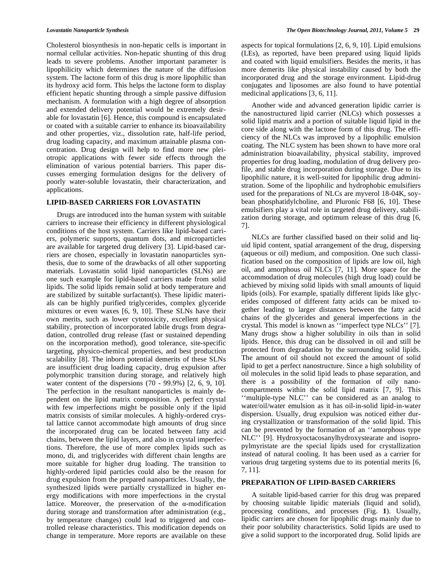Cholesterol biosynthesis in non-hepatic cells is important in normal cellular activities. Non-hepatic shunting of this drug leads to severe problems. Another important parameter is lipophilicity which determines the nature of the diffusion system. The lactone form of this drug is more lipophilic than its hydroxy acid form. This helps the lactone form to display efficient hepatic shunting through a simple passive diffusion mechanism. A formulation with a high degree of absorption and extended delivery potential would be extremely desirable for lovastatin [6]. Hence, this compound is encapsulated or coated with a suitable carrier to enhance its bioavailability and other properties, viz., dissolution rate, half-life period, drug loading capacity, and maximum attainable plasma concentration. Drug design will help to find more new pleiotropic applications with fewer side effects through the elimination of various potential barriers. This paper discusses emerging formulation designs for the delivery of poorly water-soluble lovastatin, their characterization, and applications.

## **LIPID-BASED CARRIERS FOR LOVASTATIN**

 Drugs are introduced into the human system with suitable carriers to increase their efficiency in different physiological conditions of the host system. Carriers like lipid-based carriers, polymeric supports, quantum dots, and microparticles are available for targeted drug delivery [3]. Lipid-based carriers are chosen, especially in lovastatin nanoparticles synthesis, due to some of the drawbacks of all other supporting materials. Lovastatin solid lipid nanoparticles (SLNs) are one such example for lipid-based carriers made from solid lipids. The solid lipids remain solid at body temperature and are stabilized by suitable surfactant(s). These lipidic materials can be highly purified triglycerides, complex glyceride mixtures or even waxes [6, 9, 10]. These SLNs have their own merits, such as lower cytotoxicity, excellent physical stability, protection of incorporated labile drugs from degradation, controlled drug release (fast or sustained depending on the incorporation method), good tolerance, site-specific targeting, physico-chemical properties, and best production scalability [8]. The inborn potential demerits of these SLNs are insufficient drug loading capacity, drug expulsion after polymorphic transition during storage, and relatively high water content of the dispersions (70 - 99.9%) [2, 6, 9, 10]. The perfection in the resultant nanoparticles is mainly dependent on the lipid matrix composition. A perfect crystal with few imperfections might be possible only if the lipid matrix consists of similar molecules. A highly-ordered crystal lattice cannot accommodate high amounts of drug since the incorporated drug can be located between fatty acid chains, between the lipid layers, and also in crystal imperfections. Therefore, the use of more complex lipids such as mono, di, and triglycerides with different chain lengths are more suitable for higher drug loading. The transition to highly-ordered lipid particles could also be the reason for drug expulsion from the prepared nanoparticles. Usually, the synthesized lipids were partially crystallized in higher energy modifications with more imperfections in the crystal lattice. Moreover, the preservation of the  $\alpha$ -modification during storage and transformation after administration (e.g., by temperature changes) could lead to triggered and controlled release characteristics. This modification depends on change in temperature. More reports are available on these

aspects for topical formulations [2, 6, 9, 10]. Lipid emulsions (LEs), as reported, have been prepared using liquid lipids and coated with liquid emulsifiers. Besides the merits, it has more demerits like physical instability caused by both the incorporated drug and the storage environment. Lipid-drug conjugates and liposomes are also found to have potential medicinal applications [3, 6, 11].

 Another wide and advanced generation lipidic carrier is the nanostructured lipid carrier (NLCs) which possesses a solid lipid matrix and a portion of suitable liquid lipid in the core side along with the lactone form of this drug. The efficiency of the NLCs was improved by a lipophilic emulsion coating. The NLC system has been shown to have more oral administration bioavailability, physical stability, improved properties for drug loading, modulation of drug delivery profile, and stable drug incorporation during storage. Due to its lipophilic nature, it is well-suited for lipophilic drug administration. Some of the lipophilic and hydrophobic emulsifiers used for the preparations of NLCs are myverol 18-04K, soybean phosphatidylcholine, and Pluronic F68 [6, 10]. These emulsifiers play a vital role in targeted drug delivery, stabilization during storage, and optimum release of this drug [6, 7].

 NLCs are further classified based on their solid and liquid lipid content, spatial arrangement of the drug, dispersing (aqueous or oil) medium, and composition. One such classification based on the composition of lipids are low oil, high oil, and amorphous oil NLCs [7, 11]. More space for the accommodation of drug molecules (high drug load) could be achieved by mixing solid lipids with small amounts of liquid lipids (oils). For example, spatially different lipids like glycerides composed of different fatty acids can be mixed together leading to larger distances between the fatty acid chains of the glycerides and general imperfections in the crystal. This model is known as ''imperfect type NLCs'' [7]. Many drugs show a higher solubility in oils than in solid lipids. Hence, this drug can be dissolved in oil and still be protected from degradation by the surrounding solid lipids. The amount of oil should not exceed the amount of solid lipid to get a perfect nanostructure. Since a high solubility of oil molecules in the solid lipid leads to phase separation, and there is a possibility of the formation of oily nanocompartments within the solid lipid matrix [7, 9]. This ''multiple-type NLC'' can be considered as an analog to water/oil/water emulsion as it has oil-in-solid lipid-in-water dispersion. Usually, drug expulsion was noticed either during crystallization or transformation of the solid lipid. This can be prevented by the formation of an ''amorphous type NLC'' [9]. Hydroxyoctacosanylhydroxystearate and isopropylmyristate are the special lipids used for crystallization instead of natural cooling. It has been used as a carrier for various drug targeting systems due to its potential merits [6, 7, 11].

## **PREPARATION OF LIPID-BASED CARRIERS**

 A suitable lipid-based carrier for this drug was prepared by choosing suitable lipidic materials (liquid and solid), processing conditions, and processes (Fig. **1**). Usually, lipidic carriers are chosen for lipophilic drugs mainly due to their poor solubility characteristics. Solid lipids are used to give a solid support to the incorporated drug. Solid lipids are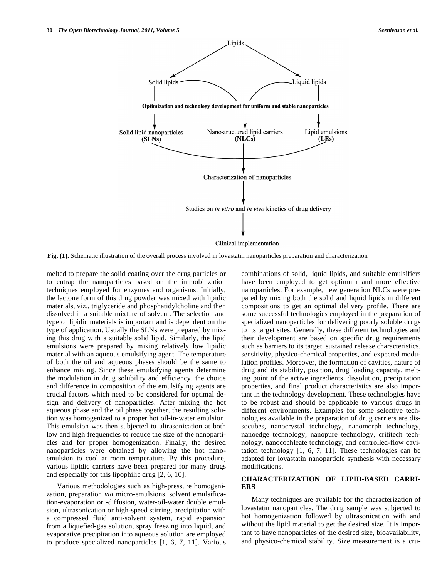

**Fig. (1).** Schematic illustration of the overall process involved in lovastatin nanoparticles preparation and characterization

melted to prepare the solid coating over the drug particles or to entrap the nanoparticles based on the immobilization techniques employed for enzymes and organisms. Initially, the lactone form of this drug powder was mixed with lipidic materials, viz., triglyceride and phosphatidylcholine and then dissolved in a suitable mixture of solvent. The selection and type of lipidic materials is important and is dependent on the type of application. Usually the SLNs were prepared by mixing this drug with a suitable solid lipid. Similarly, the lipid emulsions were prepared by mixing relatively low lipidic material with an aqueous emulsifying agent. The temperature of both the oil and aqueous phases should be the same to enhance mixing. Since these emulsifying agents determine the modulation in drug solubility and efficiency, the choice and difference in composition of the emulsifying agents are crucial factors which need to be considered for optimal design and delivery of nanoparticles. After mixing the hot aqueous phase and the oil phase together, the resulting solution was homogenized to a proper hot oil-in-water emulsion. This emulsion was then subjected to ultrasonication at both low and high frequencies to reduce the size of the nanoparticles and for proper homogenization. Finally, the desired nanoparticles were obtained by allowing the hot nanoemulsion to cool at room temperature. By this procedure, various lipidic carriers have been prepared for many drugs and especially for this lipophilic drug [2, 6, 10].

 Various methodologies such as high-pressure homogenization, preparation *via* micro-emulsions, solvent emulsification-evaporation or -diffusion, water-oil-water double emulsion, ultrasonication or high-speed stirring, precipitation with a compressed fluid anti-solvent system, rapid expansion from a liquefied-gas solution, spray freezing into liquid, and evaporative precipitation into aqueous solution are employed to produce specialized nanoparticles [1, 6, 7, 11]. Various combinations of solid, liquid lipids, and suitable emulsifiers have been employed to get optimum and more effective nanoparticles. For example, new generation NLCs were prepared by mixing both the solid and liquid lipids in different compositions to get an optimal delivery profile. There are some successful technologies employed in the preparation of specialized nanoparticles for delivering poorly soluble drugs to its target sites. Generally, these different technologies and their development are based on specific drug requirements such as barriers to its target, sustained release characteristics, sensitivity, physico-chemical properties, and expected modulation profiles. Moreover, the formation of cavities, nature of drug and its stability, position, drug loading capacity, melting point of the active ingredients, dissolution, precipitation properties, and final product characteristics are also important in the technology development. These technologies have to be robust and should be applicable to various drugs in different environments. Examples for some selective technologies available in the preparation of drug carriers are dissocubes, nanocrystal technology, nanomorph technology, nanoedge technology, nanopure technology, crititech technology, nanocochleate technology, and controlled-flow cavitation technology [1, 6, 7, 11]. These technologies can be adapted for lovastatin nanoparticle synthesis with necessary modifications.

# **CHARACTERIZATION OF LIPID-BASED CARRI-ERS**

 Many techniques are available for the characterization of lovastatin nanoparticles. The drug sample was subjected to hot homogenization followed by ultrasonication with and without the lipid material to get the desired size. It is important to have nanoparticles of the desired size, bioavailability, and physico-chemical stability. Size measurement is a cru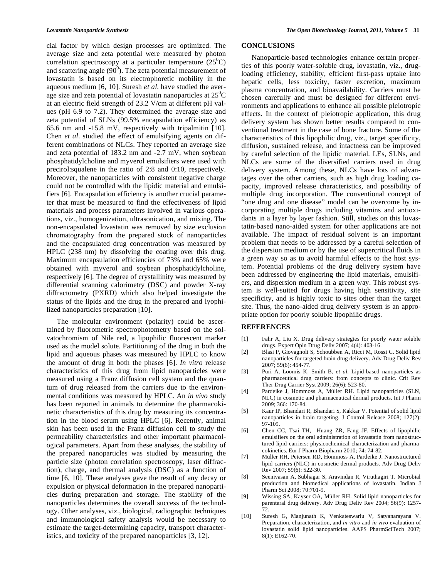cial factor by which design processes are optimized. The average size and zeta potential were measured by photon correlation spectroscopy at a particular temperature  $(25^0C)$ and scattering angle  $(90^0)$ . The zeta potential measurement of lovastatin is based on its electrophoretic mobility in the aqueous medium [6, 10]. Suresh *et al*. have studied the average size and zeta potential of lovastatin nanoparticles at  $25^{\circ}$ C at an electric field strength of 23.2 V/cm at different pH values (pH 6.9 to 7.2). They determined the average size and zeta potential of SLNs (99.5% encapsulation efficiency) as 65.6 nm and -15.8 mV, respectively with tripalmitin [10]. Chen *et al*. studied the effect of emulsifying agents on different combinations of NLCs. They reported an average size and zeta potential of 183.2 nm and -2.7 mV, when soybean phosphatidylcholine and myverol emulsifiers were used with precirol:squalene in the ratio of 2:8 and 0:10, respectively. Moreover, the nanoparticles with consistent negative charge could not be controlled with the lipidic material and emulsifiers [6]. Encapsulation efficiency is another crucial parameter that must be measured to find the effectiveness of lipid materials and process parameters involved in various operations, viz., homogenization, ultrasonication, and mixing. The non-encapsulated lovastatin was removed by size exclusion chromatography from the prepared stock of nanoparticles and the encapsulated drug concentration was measured by HPLC (238 nm) by dissolving the coating over this drug. Maximum encapsulation efficiencies of 73% and 65% were obtained with myverol and soybean phosphatidylcholine, respectively [6]. The degree of crystallinity was measured by differential scanning calorimetry (DSC) and powder X-ray diffractometry (PXRD) which also helped investigate the status of the lipids and the drug in the prepared and lyophilized nanoparticles preparation [10].

 The molecular environment (polarity) could be ascertained by fluorometric spectrophotometry based on the solvatochromism of Nile red, a lipophilic fluorescent marker used as the model solute. Partitioning of the drug in both the lipid and aqueous phases was measured by HPLC to know the amount of drug in both the phases [6]. *In vitro* release characteristics of this drug from lipid nanoparticles were measured using a Franz diffusion cell system and the quantum of drug released from the carriers due to the environmental conditions was measured by HPLC. An *in vivo* study has been reported in animals to determine the pharmacokinetic characteristics of this drug by measuring its concentration in the blood serum using HPLC [6]. Recently, animal skin has been used in the Franz diffusion cell to study the permeability characteristics and other important pharmacological parameters. Apart from these analyses, the stability of the prepared nanoparticles was studied by measuring the particle size (photon correlation spectroscopy, laser diffraction), charge, and thermal analysis (DSC) as a function of time [6, 10]. These analyses gave the result of any decay or expulsion or physical deformation in the prepared nanoparticles during preparation and storage. The stability of the nanoparticles determines the overall success of the technology. Other analyses, viz., biological, radiographic techniques and immunological safety analysis would be necessary to estimate the target-determining capacity, transport characteristics, and toxicity of the prepared nanoparticles [3, 12].

# **CONCLUSIONS**

 Nanoparticle-based technologies enhance certain properties of this poorly water-soluble drug, lovastatin, viz., drugloading efficiency, stability, efficient first-pass uptake into hepatic cells, less toxicity, faster excretion, maximum plasma concentration, and bioavailability. Carriers must be chosen carefully and must be designed for different environments and applications to enhance all possible pleiotropic effects. In the context of pleiotropic application, this drug delivery system has shown better results compared to conventional treatment in the case of bone fracture. Some of the characteristics of this lipophilic drug, viz., target specificity, diffusion, sustained release, and intactness can be improved by careful selection of the lipidic material. LEs, SLNs, and NLCs are some of the diversified carriers used in drug delivery system. Among these, NLCs have lots of advantages over the other carriers, such as high drug loading capacity, improved release characteristics, and possibility of multiple drug incorporation. The conventional concept of "one drug and one disease" model can be overcome by incorporating multiple drugs including vitamins and antioxidants in a layer by layer fashion. Still, studies on this lovastatin-based nano-aided system for other applications are not available. The impact of residual solvent is an important problem that needs to be addressed by a careful selection of the dispersion medium or by the use of supercritical fluids in a green way so as to avoid harmful effects to the host system. Potential problems of the drug delivery system have been addressed by engineering the lipid materials, emulsifiers, and dispersion medium in a green way. This robust system is well-suited for drugs having high sensitivity, site specificity, and is highly toxic to sites other than the target site. Thus, the nano-aided drug delivery system is an appropriate option for poorly soluble lipophilic drugs.

### **REFERENCES**

- [1] Fahr A, Liu X. Drug delivery strategies for poorly water soluble drugs. Expert Opin Drug Deliv 2007; 4(4): 403-16.
- [2] Blasi P, Giovagnoli S, Schoubben A, Ricci M, Rossi C. Solid lipid nanoparticles for targeted brain drug delivery. Adv Drug Deliv Rev 2007; 59(6): 454-77.
- [3] Puri A, Loomis K, Smith B, *et al*. Lipid-based nanoparticles as pharmaceutical drug carriers: from concepts to clinic. Crit Rev Ther Drug Carrier Syst 2009; 26(6): 523-80.
- [4] Pardeike J, Hommoss A, Müller RH. Lipid nanoparticles (SLN, NLC) in cosmetic and pharmaceutical dermal products. Int J Pharm 2009; 366: 170-84.
- [5] Kaur IP, Bhandari R, Bhandari S, Kakkar V. Potential of solid lipid nanoparticles in brain targeting. J Control Release 2008; 127(2): 97-109.
- [6] Chen CC, Tsai TH, Huang ZR, Fang JF. Effects of lipophilic emulsifiers on the oral administration of lovastatin from nanostructured lipid carriers: physicochemical characterization and pharmacokinetics. Eur J Pharm Biopharm 2010; 74: 74-82.
- [7] Müller RH, Petersen RD, Hommoss A, Pardeike J. Nanostructured lipid carriers (NLC) in cosmetic dermal products. Adv Drug Deliv Rev 2007; 59(6): 522-30.
- [8] Seenivasan A, Subhagar S, Aravindan R, Viruthagiri T. Microbial production and biomedical applications of lovastatin. Indian J Pharm Sci 2008; 70:701-9.
- [9] Wissing SA, Kayser OA, Müller RH. Solid lipid nanoparticles for parenteral drug delivery. Adv Drug Deliv Rev 2004; 56(9): 1257- 72.
- [10] Suresh G, Manjunath K, Venkateswarlu V, Satyanarayana V. Preparation, characterization, and *in vitro* and *in vivo* evaluation of lovastatin solid lipid nanoparticles. AAPS PharmSciTech 2007; 8(1): E162-70.